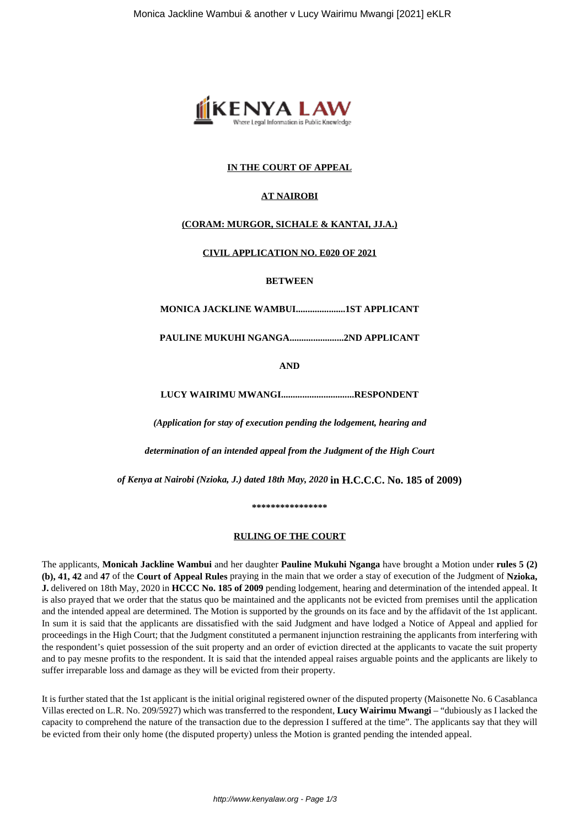

### **IN THE COURT OF APPEAL**

# **AT NAIROBI**

# **(CORAM: MURGOR, SICHALE & KANTAI, JJ.A.)**

### **CIVIL APPLICATION NO. E020 OF 2021**

#### **BETWEEN**

**MONICA JACKLINE WAMBUI.....................1ST APPLICANT**

**PAULINE MUKUHI NGANGA.......................2ND APPLICANT**

**AND**

**LUCY WAIRIMU MWANGI...............................RESPONDENT**

*(Application for stay of execution pending the lodgement, hearing and*

*determination of an intended appeal from the Judgment of the High Court*

*of Kenya at Nairobi (Nzioka, J.) dated 18th May, 2020* **in H.C.C.C. No. 185 of 2009)**

**\*\*\*\*\*\*\*\*\*\*\*\*\*\*\*\***

### **RULING OF THE COURT**

The applicants, **Monicah Jackline Wambui** and her daughter **Pauline Mukuhi Nganga** have brought a Motion under **rules 5 (2) (b), 41, 42** and **47** of the **Court of Appeal Rules** praying in the main that we order a stay of execution of the Judgment of **Nzioka, J.** delivered on 18th May, 2020 in **HCCC No. 185 of 2009** pending lodgement, hearing and determination of the intended appeal. It is also prayed that we order that the status quo be maintained and the applicants not be evicted from premises until the application and the intended appeal are determined. The Motion is supported by the grounds on its face and by the affidavit of the 1st applicant. In sum it is said that the applicants are dissatisfied with the said Judgment and have lodged a Notice of Appeal and applied for proceedings in the High Court; that the Judgment constituted a permanent injunction restraining the applicants from interfering with the respondent's quiet possession of the suit property and an order of eviction directed at the applicants to vacate the suit property and to pay mesne profits to the respondent. It is said that the intended appeal raises arguable points and the applicants are likely to suffer irreparable loss and damage as they will be evicted from their property.

It is further stated that the 1st applicant is the initial original registered owner of the disputed property (Maisonette No. 6 Casablanca Villas erected on L.R. No. 209/5927) which was transferred to the respondent, **Lucy Wairimu Mwangi** – "dubiously as I lacked the capacity to comprehend the nature of the transaction due to the depression I suffered at the time". The applicants say that they will be evicted from their only home (the disputed property) unless the Motion is granted pending the intended appeal.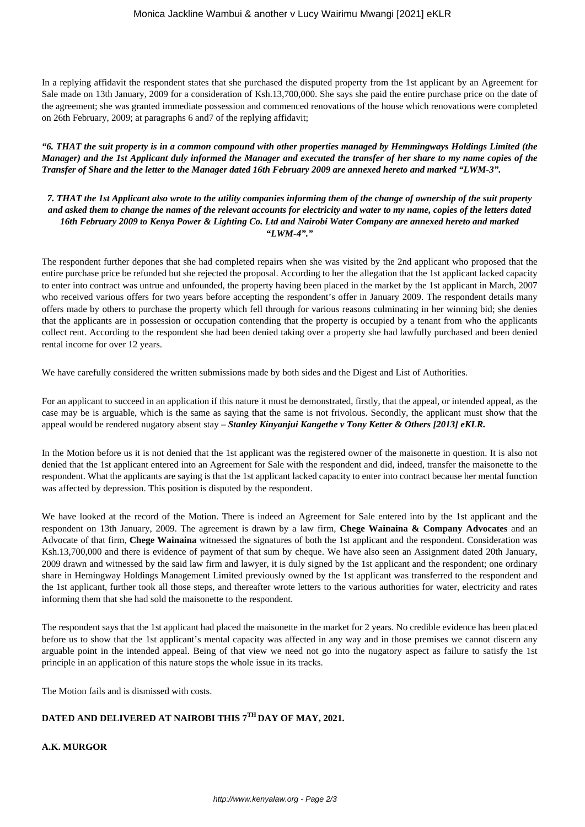In a replying affidavit the respondent states that she purchased the disputed property from the 1st applicant by an Agreement for Sale made on 13th January, 2009 for a consideration of Ksh.13,700,000. She says she paid the entire purchase price on the date of the agreement; she was granted immediate possession and commenced renovations of the house which renovations were completed on 26th February, 2009; at paragraphs 6 and7 of the replying affidavit;

*"6. THAT the suit property is in a common compound with other properties managed by Hemmingways Holdings Limited (the Manager) and the 1st Applicant duly informed the Manager and executed the transfer of her share to my name copies of the Transfer of Share and the letter to the Manager dated 16th February 2009 are annexed hereto and marked "LWM-3".*

*7. THAT the 1st Applicant also wrote to the utility companies informing them of the change of ownership of the suit property and asked them to change the names of the relevant accounts for electricity and water to my name, copies of the letters dated 16th February 2009 to Kenya Power & Lighting Co. Ltd and Nairobi Water Company are annexed hereto and marked "LWM-4"."*

The respondent further depones that she had completed repairs when she was visited by the 2nd applicant who proposed that the entire purchase price be refunded but she rejected the proposal. According to her the allegation that the 1st applicant lacked capacity to enter into contract was untrue and unfounded, the property having been placed in the market by the 1st applicant in March, 2007 who received various offers for two years before accepting the respondent's offer in January 2009. The respondent details many offers made by others to purchase the property which fell through for various reasons culminating in her winning bid; she denies that the applicants are in possession or occupation contending that the property is occupied by a tenant from who the applicants collect rent. According to the respondent she had been denied taking over a property she had lawfully purchased and been denied rental income for over 12 years.

We have carefully considered the written submissions made by both sides and the Digest and List of Authorities.

For an applicant to succeed in an application if this nature it must be demonstrated, firstly, that the appeal, or intended appeal, as the case may be is arguable, which is the same as saying that the same is not frivolous. Secondly, the applicant must show that the appeal would be rendered nugatory absent stay – *Stanley Kinyanjui Kangethe v Tony Ketter & Others [2013] eKLR.*

In the Motion before us it is not denied that the 1st applicant was the registered owner of the maisonette in question. It is also not denied that the 1st applicant entered into an Agreement for Sale with the respondent and did, indeed, transfer the maisonette to the respondent. What the applicants are saying is that the 1st applicant lacked capacity to enter into contract because her mental function was affected by depression. This position is disputed by the respondent.

We have looked at the record of the Motion. There is indeed an Agreement for Sale entered into by the 1st applicant and the respondent on 13th January, 2009. The agreement is drawn by a law firm, **Chege Wainaina & Company Advocates** and an Advocate of that firm, **Chege Wainaina** witnessed the signatures of both the 1st applicant and the respondent. Consideration was Ksh.13,700,000 and there is evidence of payment of that sum by cheque. We have also seen an Assignment dated 20th January, 2009 drawn and witnessed by the said law firm and lawyer, it is duly signed by the 1st applicant and the respondent; one ordinary share in Hemingway Holdings Management Limited previously owned by the 1st applicant was transferred to the respondent and the 1st applicant, further took all those steps, and thereafter wrote letters to the various authorities for water, electricity and rates informing them that she had sold the maisonette to the respondent.

The respondent says that the 1st applicant had placed the maisonette in the market for 2 years. No credible evidence has been placed before us to show that the 1st applicant's mental capacity was affected in any way and in those premises we cannot discern any arguable point in the intended appeal. Being of that view we need not go into the nugatory aspect as failure to satisfy the 1st principle in an application of this nature stops the whole issue in its tracks.

The Motion fails and is dismissed with costs.

# **DATED AND DELIVERED AT NAIROBI THIS 7TH DAY OF MAY, 2021.**

**A.K. MURGOR**